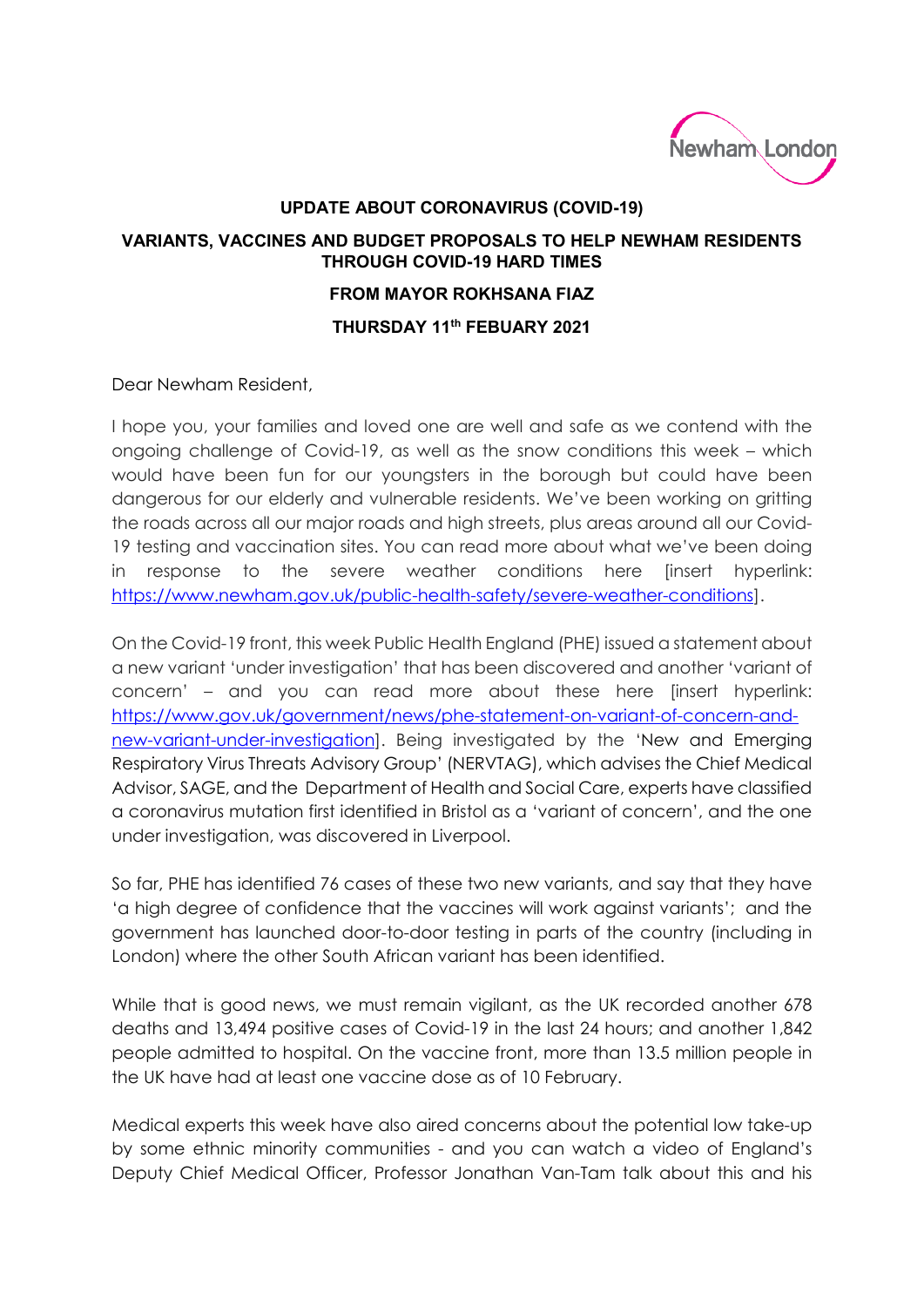

## **UPDATE ABOUT CORONAVIRUS (COVID-19)**

## **VARIANTS, VACCINES AND BUDGET PROPOSALS TO HELP NEWHAM RESIDENTS THROUGH COVID-19 HARD TIMES FROM MAYOR ROKHSANA FIAZ THURSDAY 11th FEBUARY 2021**

Dear Newham Resident,

I hope you, your families and loved one are well and safe as we contend with the ongoing challenge of Covid-19, as well as the snow conditions this week – which would have been fun for our youngsters in the borough but could have been dangerous for our elderly and vulnerable residents. We've been working on gritting the roads across all our major roads and high streets, plus areas around all our Covid-19 testing and vaccination sites. You can read more about what we've been doing in response to the severe weather conditions here [insert hyperlink: [https://www.newham.gov.uk/public-health-safety/severe-weather-conditions\]](https://www.newham.gov.uk/public-health-safety/severe-weather-conditions).

On the Covid-19 front, this week Public Health England (PHE) issued a statement about a new variant 'under investigation' that has been discovered and another 'variant of concern' – and you can read more about these here [insert hyperlink: [https://www.gov.uk/government/news/phe-statement-on-variant-of-concern-and](https://www.gov.uk/government/news/phe-statement-on-variant-of-concern-and-new-variant-under-investigation)[new-variant-under-investigation\]](https://www.gov.uk/government/news/phe-statement-on-variant-of-concern-and-new-variant-under-investigation). Being investigated by the 'New and Emerging Respiratory Virus Threats Advisory Group' (NERVTAG), which advises the Chief Medical Advisor, SAGE, and the Department of Health and Social Care, experts have classified a coronavirus mutation first identified in Bristol as a 'variant of concern', and the one under investigation, was discovered in Liverpool.

So far, PHE has identified 76 cases of these two new variants, and say that they have 'a high degree of confidence that the vaccines will work against variants'; and the government has launched door-to-door testing in parts of the country (including in London) where the other South African variant has been identified.

While that is good news, we must remain vigilant, as the UK recorded another 678 deaths and 13,494 positive cases of Covid-19 in the last 24 hours; and another 1,842 people admitted to hospital. On the vaccine front, more than 13.5 million people in the UK have had at least one vaccine dose as of 10 February.

Medical experts this week have also aired concerns about the potential low take-up by some ethnic minority communities - and you can watch a video of England's Deputy Chief Medical Officer, Professor Jonathan Van-Tam talk about this and his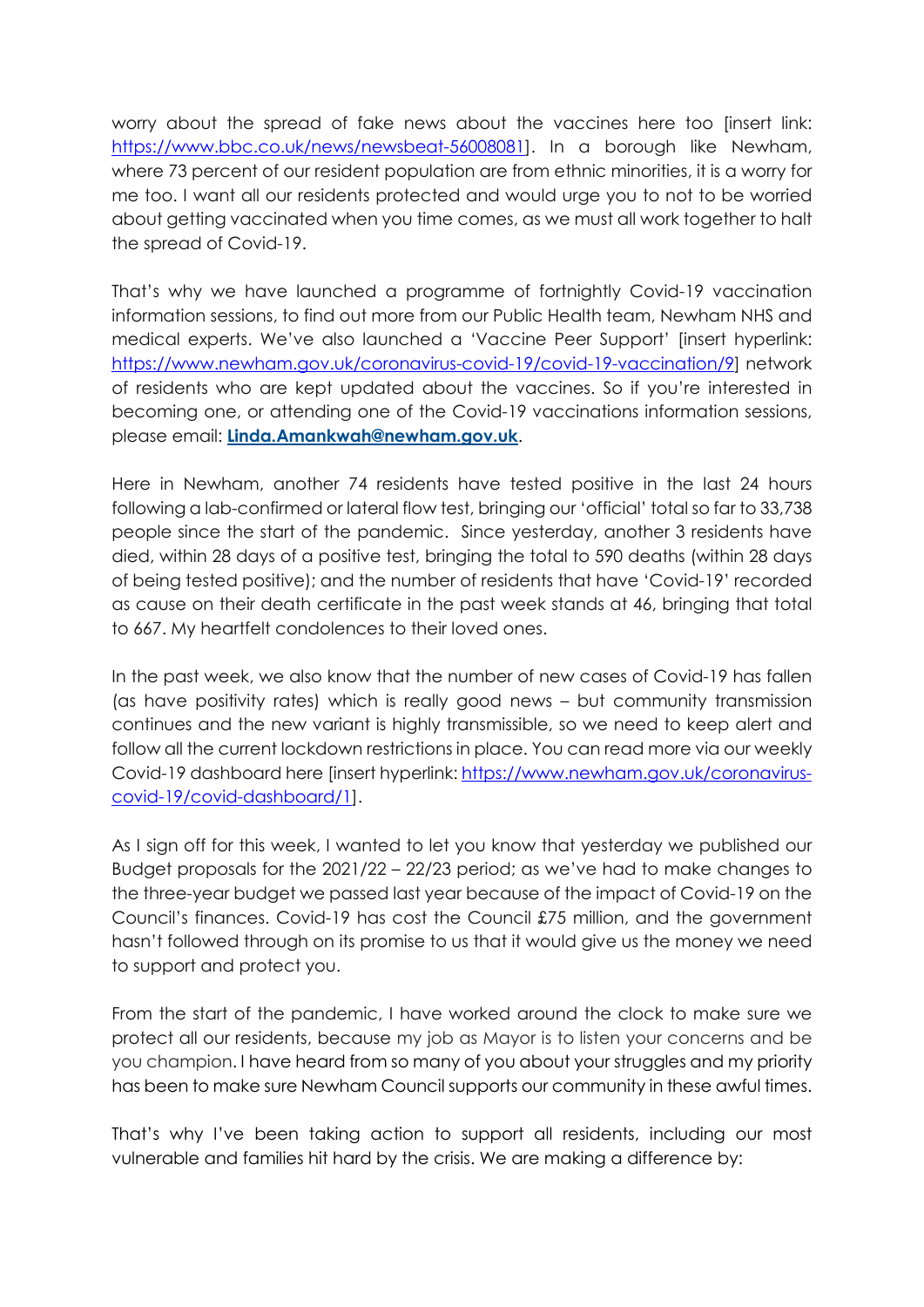worry about the spread of fake news about the vaccines here too [insert link: [https://www.bbc.co.uk/news/newsbeat-56008081\]](https://www.bbc.co.uk/news/newsbeat-56008081). In a borough like Newham, where 73 percent of our resident population are from ethnic minorities, it is a worry for me too. I want all our residents protected and would urge you to not to be worried about getting vaccinated when you time comes, as we must all work together to halt the spread of Covid-19.

That's why we have launched a programme of fortnightly Covid-19 vaccination information sessions, to find out more from our Public Health team, Newham NHS and medical experts. We've also launched a 'Vaccine Peer Support' [insert hyperlink: [https://www.newham.gov.uk/coronavirus-covid-19/covid-19-vaccination/9\]](https://www.newham.gov.uk/coronavirus-covid-19/covid-19-vaccination/9) network of residents who are kept updated about the vaccines. So if you're interested in becoming one, or attending one of the Covid-19 vaccinations information sessions, please email: **[Linda.Amankwah@newham.gov.uk](mailto:Linda.Amankwah@newham.gov.uk)**.

Here in Newham, another 74 residents have tested positive in the last 24 hours following a lab-confirmed or lateral flow test, bringing our 'official' total so far to 33,738 people since the start of the pandemic. Since yesterday, another 3 residents have died, within 28 days of a positive test, bringing the total to 590 deaths (within 28 days of being tested positive); and the number of residents that have 'Covid-19' recorded as cause on their death certificate in the past week stands at 46, bringing that total to 667. My heartfelt condolences to their loved ones.

In the past week, we also know that the number of new cases of Covid-19 has fallen (as have positivity rates) which is really good news – but community transmission continues and the new variant is highly transmissible, so we need to keep alert and follow all the current lockdown restrictions in place. You can read more via our weekly Covid-19 dashboard here [insert hyperlink[: https://www.newham.gov.uk/coronavirus](https://www.newham.gov.uk/coronavirus-covid-19/covid-dashboard/1)[covid-19/covid-dashboard/1\]](https://www.newham.gov.uk/coronavirus-covid-19/covid-dashboard/1).

As I sign off for this week, I wanted to let you know that yesterday we published our Budget proposals for the 2021/22 – 22/23 period; as we've had to make changes to the three-year budget we passed last year because of the impact of Covid-19 on the Council's finances. Covid-19 has cost the Council £75 million, and the government hasn't followed through on its promise to us that it would give us the money we need to support and protect you.

From the start of the pandemic, I have worked around the clock to make sure we protect all our residents, because my job as Mayor is to listen your concerns and be you champion. I have heard from so many of you about your struggles and my priority has been to make sure Newham Council supports our community in these awful times.

That's why I've been taking action to support all residents, including our most vulnerable and families hit hard by the crisis. We are making a difference by: